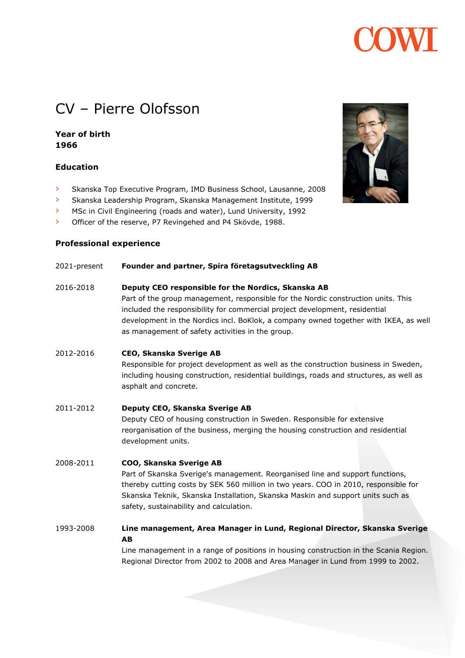# CV – Pierre Olofsson

### **Year of birth 1966**

#### **Education**

- › Skanska Top Executive Program, IMD Business School, Lausanne, 2008
- › Skanska Leadership Program, Skanska Management Institute, 1999
- › MSc in Civil Engineering (roads and water), Lund University, 1992
- › Officer of the reserve, P7 Revingehed and P4 Skövde, 1988.

#### **Professional experience**

#### 2021-present **Founder and partner, Spira företagsutveckling AB**

- 2016-2018 **Deputy CEO responsible for the Nordics, Skanska AB** Part of the group management, responsible for the Nordic construction units. This included the responsibility for commercial project development, residential development in the Nordics incl. BoKlok, a company owned together with IKEA, as well as management of safety activities in the group.
- 2012-2016 **CEO, Skanska Sverige AB** Responsible for project development as well as the construction business in Sweden, including housing construction, residential buildings, roads and structures, as well as asphalt and concrete.
- 2011-2012 **Deputy CEO, Skanska Sverige AB** Deputy CEO of housing construction in Sweden. Responsible for extensive reorganisation of the business, merging the housing construction and residential development units.

### 2008-2011 **COO, Skanska Sverige AB** Part of Skanska Sverige's management. Reorganised line and support functions, thereby cutting costs by SEK 560 million in two years. COO in 2010, responsible for Skanska Teknik, Skanska Installation, Skanska Maskin and support units such as safety, sustainability and calculation.

## 1993-2008 **Line management, Area Manager in Lund, Regional Director, Skanska Sverige AB**

Line management in a range of positions in housing construction in the Scania Region. Regional Director from 2002 to 2008 and Area Manager in Lund from 1999 to 2002.